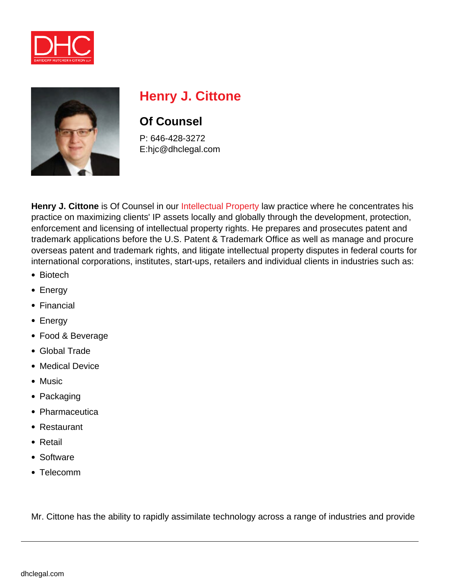



# **Henry J. Cittone**

## **Of Counsel**

P: 646-428-3272 E:hjc@dhclegal.com

**Henry J. Cittone** is Of Counsel in our [Intellectual Property](https://dhclegal.com/law-practice-areas/intellectual-property/) law practice where he concentrates his practice on maximizing clients' IP assets locally and globally through the development, protection, enforcement and licensing of intellectual property rights. He prepares and prosecutes patent and trademark applications before the U.S. Patent & Trademark Office as well as manage and procure overseas patent and trademark rights, and litigate intellectual property disputes in federal courts for international corporations, institutes, start-ups, retailers and individual clients in industries such as:

- Biotech
- Energy
- Financial
- Energy
- Food & Beverage
- Global Trade
- Medical Device
- Music
- Packaging
- Pharmaceutica
- Restaurant
- Retail
- Software
- Telecomm

Mr. Cittone has the ability to rapidly assimilate technology across a range of industries and provide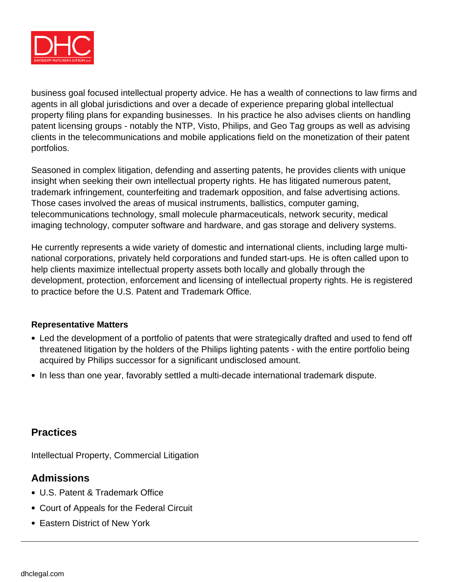

business goal focused intellectual property advice. He has a wealth of connections to law firms and agents in all global jurisdictions and over a decade of experience preparing global intellectual property filing plans for expanding businesses. In his practice he also advises clients on handling patent licensing groups - notably the NTP, Visto, Philips, and Geo Tag groups as well as advising clients in the telecommunications and mobile applications field on the monetization of their patent portfolios.

Seasoned in complex litigation, defending and asserting patents, he provides clients with unique insight when seeking their own intellectual property rights. He has litigated numerous patent, trademark infringement, counterfeiting and trademark opposition, and false advertising actions. Those cases involved the areas of musical instruments, ballistics, computer gaming, telecommunications technology, small molecule pharmaceuticals, network security, medical imaging technology, computer software and hardware, and gas storage and delivery systems.

He currently represents a wide variety of domestic and international clients, including large multinational corporations, privately held corporations and funded start-ups. He is often called upon to help clients maximize intellectual property assets both locally and globally through the development, protection, enforcement and licensing of intellectual property rights. He is registered to practice before the U.S. Patent and Trademark Office.

#### **Representative Matters**

- Led the development of a portfolio of patents that were strategically drafted and used to fend off threatened litigation by the holders of the Philips lighting patents - with the entire portfolio being acquired by Philips successor for a significant undisclosed amount.
- In less than one year, favorably settled a multi-decade international trademark dispute.

#### **Practices**

Intellectual Property, Commercial Litigation

#### **Admissions**

- U.S. Patent & Trademark Office
- Court of Appeals for the Federal Circuit
- Eastern District of New York